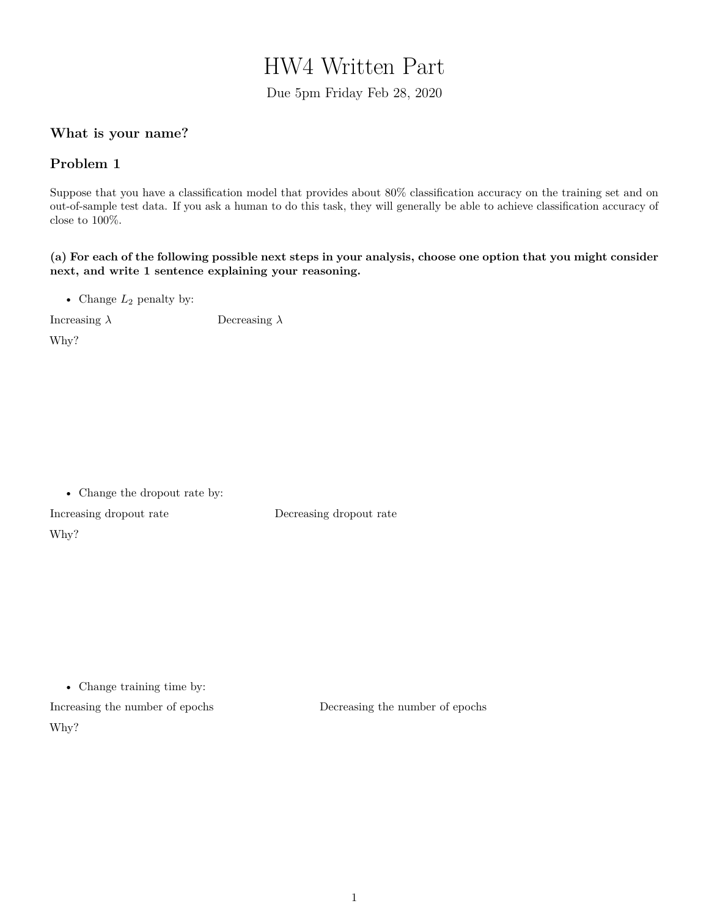# HW4 Written Part

Due 5pm Friday Feb 28, 2020

## **What is your name?**

### **Problem 1**

Suppose that you have a classification model that provides about 80% classification accuracy on the training set and on out-of-sample test data. If you ask a human to do this task, they will generally be able to achieve classification accuracy of close to 100%.

**(a) For each of the following possible next steps in your analysis, choose one option that you might consider next, and write 1 sentence explaining your reasoning.**

• Change  $L_2$  penalty by:

Increasing *λ* Decreasing *λ*

Why?

Why?

• Change the dropout rate by: Increasing dropout rate Decreasing dropout rate

• Change training time by:

Increasing the number of epochs Decreasing the number of epochs Why?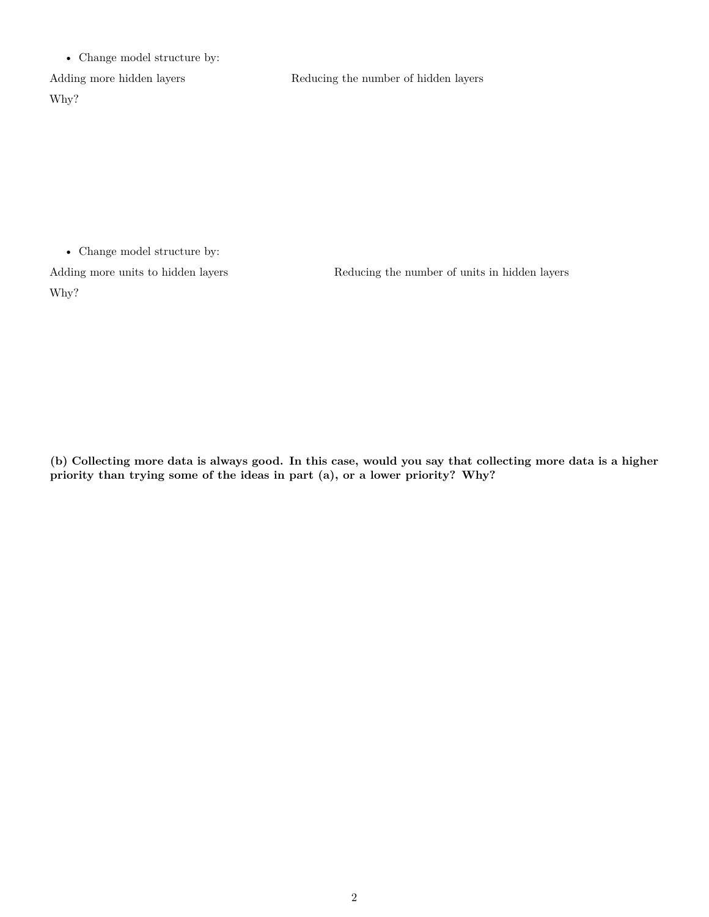• Change model structure by:

Why?

Adding more hidden layers Reducing the number of hidden layers

• Change model structure by:

Why?

Adding more units to hidden layers Reducing the number of units in hidden layers

**(b) Collecting more data is always good. In this case, would you say that collecting more data is a higher priority than trying some of the ideas in part (a), or a lower priority? Why?**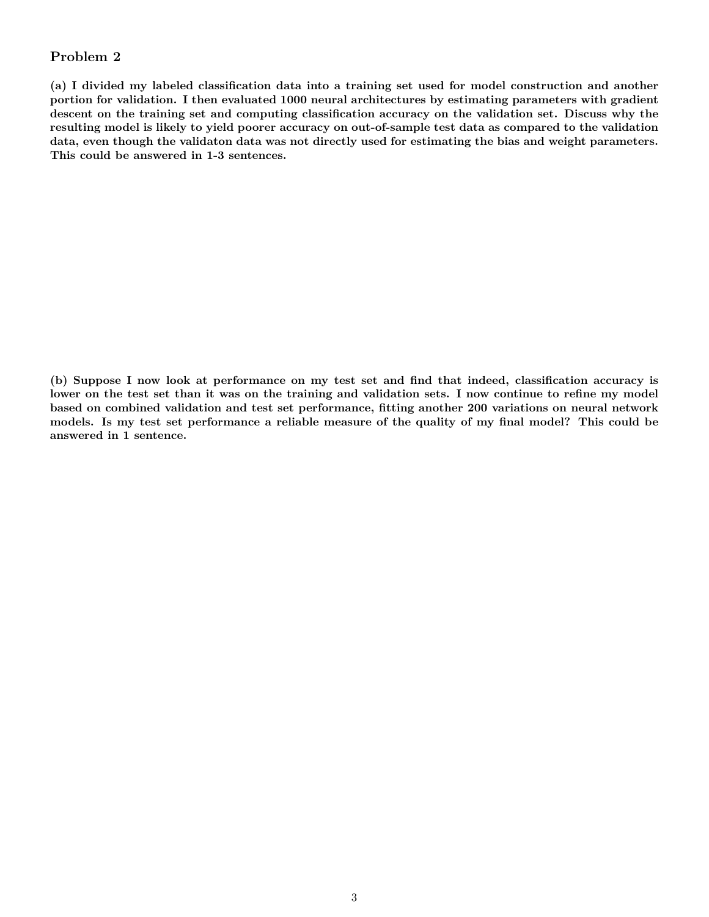### **Problem 2**

**(a) I divided my labeled classification data into a training set used for model construction and another portion for validation. I then evaluated 1000 neural architectures by estimating parameters with gradient descent on the training set and computing classification accuracy on the validation set. Discuss why the resulting model is likely to yield poorer accuracy on out-of-sample test data as compared to the validation data, even though the validaton data was not directly used for estimating the bias and weight parameters. This could be answered in 1-3 sentences.**

**(b) Suppose I now look at performance on my test set and find that indeed, classification accuracy is lower on the test set than it was on the training and validation sets. I now continue to refine my model based on combined validation and test set performance, fitting another 200 variations on neural network models. Is my test set performance a reliable measure of the quality of my final model? This could be answered in 1 sentence.**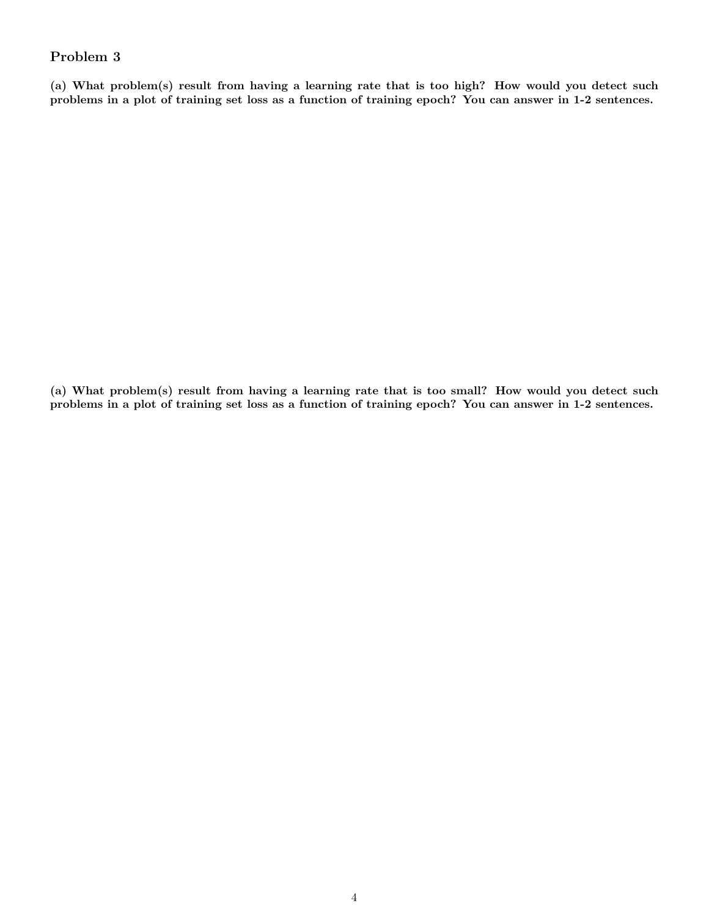## **Problem 3**

**(a) What problem(s) result from having a learning rate that is too high? How would you detect such problems in a plot of training set loss as a function of training epoch? You can answer in 1-2 sentences.**

**(a) What problem(s) result from having a learning rate that is too small? How would you detect such problems in a plot of training set loss as a function of training epoch? You can answer in 1-2 sentences.**